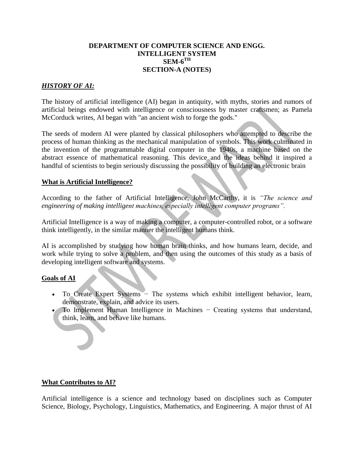#### **DEPARTMENT OF COMPUTER SCIENCE AND ENGG. INTELLIGENT SYSTEM**  $\mathbf{SEM}\text{-}\mathbf{6}^{\text{TH}}$ **SECTION-A (NOTES)**

# *HISTORY OF AI:*

The history of artificial intelligence (AI) began in [antiquity,](https://en.wikipedia.org/wiki/Ancient_history) with myths, stories and rumors of artificial beings endowed with intelligence or consciousness by master craftsmen; as [Pamela](https://en.wikipedia.org/wiki/Pamela_McCorduck)  [McCorduck](https://en.wikipedia.org/wiki/Pamela_McCorduck) writes, AI began with "an ancient wish to forge the gods."

The seeds of modern AI were planted by classical philosophers who attempted to describe the process of human thinking as the mechanical manipulation of symbols. This work culminated in the invention of the [programmable digital computer](https://en.wikipedia.org/wiki/Computer) in the 1940s, a machine based on the abstract essence of mathematical reasoning. This device and the ideas behind it inspired a handful of scientists to begin seriously discussing the possibility of building an electronic brain

#### **What is Artificial Intelligence?**

According to the father of Artificial Intelligence, John McCarthy, it is *"The science and engineering of making intelligent machines, especially intelligent computer programs".*

Artificial Intelligence is a way of making a computer, a computer-controlled robot, or a software think intelligently, in the similar manner the intelligent humans think.

AI is accomplished by studying how human brain thinks, and how humans learn, decide, and work while trying to solve a problem, and then using the outcomes of this study as a basis of developing intelligent software and systems.

#### **Goals of AI**

- To Create Expert Systems − The systems which exhibit intelligent behavior, learn, demonstrate, explain, and advice its users.
- To Implement Human Intelligence in Machines − Creating systems that understand, think, learn, and behave like humans.

#### **What Contributes to AI?**

Artificial intelligence is a science and technology based on disciplines such as Computer Science, Biology, Psychology, Linguistics, Mathematics, and Engineering. A major thrust of AI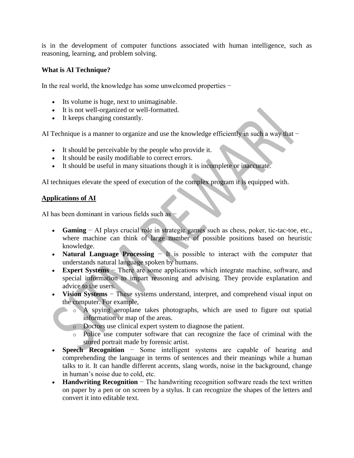is in the development of computer functions associated with human intelligence, such as reasoning, learning, and problem solving.

# **What is AI Technique?**

In the real world, the knowledge has some unwelcomed properties −

- Its volume is huge, next to unimaginable.
- It is not well-organized or well-formatted.
- It keeps changing constantly.

AI Technique is a manner to organize and use the knowledge efficiently in such a way that −

- It should be perceivable by the people who provide it.
- It should be easily modifiable to correct errors.
- It should be useful in many situations though it is incomplete or inaccurate.

AI techniques elevate the speed of execution of the complex program it is equipped with.

### **Applications of AI**

AI has been dominant in various fields such as −

- **Gaming** − AI plays crucial role in strategic games such as chess, poker, tic-tac-toe, etc., where machine can think of large number of possible positions based on heuristic knowledge.
- **Natural Language Processing** − It is possible to interact with the computer that understands natural language spoken by humans.
- **Expert Systems** − There are some applications which integrate machine, software, and special information to impart reasoning and advising. They provide explanation and advice to the users.
- **Vision Systems** − These systems understand, interpret, and comprehend visual input on the computer. For example,
	- o A spying aeroplane takes photographs, which are used to figure out spatial information or map of the areas.
	- o Doctors use clinical expert system to diagnose the patient.
	- o Police use computer software that can recognize the face of criminal with the stored portrait made by forensic artist.
- **Speech Recognition** Some intelligent systems are capable of hearing and comprehending the language in terms of sentences and their meanings while a human talks to it. It can handle different accents, slang words, noise in the background, change in human's noise due to cold, etc.
- **Handwriting Recognition** − The handwriting recognition software reads the text written on paper by a pen or on screen by a stylus. It can recognize the shapes of the letters and convert it into editable text.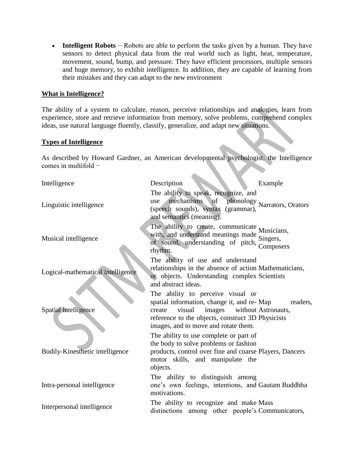**Intelligent Robots** − Robots are able to perform the tasks given by a human. They have sensors to detect physical data from the real world such as light, heat, temperature, movement, sound, bump, and pressure. They have efficient processors, multiple sensors and huge memory, to exhibit intelligence. In addition, they are capable of learning from their mistakes and they can adapt to the new environment

### **What is Intelligence?**

The ability of a system to calculate, reason, perceive relationships and analogies, learn from experience, store and retrieve information from memory, solve problems, comprehend complex ideas, use natural language fluently, classify, generalize, and adapt new situations.

#### **Types of Intelligence**

As described by Howard Gardner, an American developmental psychologist, the Intelligence comes in multifold −

| Intelligence                      | Description                                                                                                                                                                                                                    | Example                      |
|-----------------------------------|--------------------------------------------------------------------------------------------------------------------------------------------------------------------------------------------------------------------------------|------------------------------|
| Linguistic intelligence           | The ability to speak, recognize, and<br>mechanisms<br><b>of</b><br>use<br>(speech sounds), syntax (grammar),<br>and semantics (meaning).                                                                                       | phonology Narrators, Orators |
| Musical intelligence              | The ability to create, communicate Musicians,<br>with, and understand meanings made Singers,<br>of sound, understanding of pitch, Composers<br>rhythm.                                                                         |                              |
| Logical-mathematical intelligence | The ability of use and understand<br>relationships in the absence of action Mathematicians,<br>or objects. Understanding complex Scientists<br>and abstract ideas.                                                             |                              |
| Spatial intelligence              | The ability to perceive visual or<br>spatial information, change it, and re-Map<br>visual<br>images without Astronauts,<br>create<br>reference to the objects, construct 3D Physicists<br>images, and to move and rotate them. | readers,                     |
| Bodily-Kinesthetic intelligence   | The ability to use complete or part of<br>the body to solve problems or fashion<br>products, control over fine and coarse Players, Dancers<br>motor skills, and manipulate the<br>objects.                                     |                              |
| Intra-personal intelligence       | The ability to distinguish among<br>one's own feelings, intentions, and Gautam Buddhha<br>motivations.                                                                                                                         |                              |
| Interpersonal intelligence        | The ability to recognize and make Mass<br>distinctions among other people's Communicators,                                                                                                                                     |                              |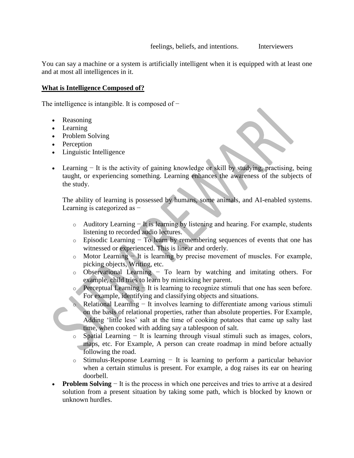You can say a machine or a system is artificially intelligent when it is equipped with at least one and at most all intelligences in it.

# **What is Intelligence Composed of?**

The intelligence is intangible. It is composed of −

- Reasoning
- Learning
- Problem Solving
- Perception
- Linguistic Intelligence
- Learning − It is the activity of gaining knowledge or skill by studying, practising, being taught, or experiencing something. Learning enhances the awareness of the subjects of the study.

The ability of learning is possessed by humans, some animals, and AI-enabled systems. Learning is categorized as −

- o Auditory Learning − It is learning by listening and hearing. For example, students listening to recorded audio lectures.
- o Episodic Learning − To learn by remembering sequences of events that one has witnessed or experienced. This is linear and orderly.
- o Motor Learning − It is learning by precise movement of muscles. For example, picking objects, Writing, etc.
- o Observational Learning − To learn by watching and imitating others. For example, child tries to learn by mimicking her parent.
- o Perceptual Learning − It is learning to recognize stimuli that one has seen before. For example, identifying and classifying objects and situations.
- o Relational Learning − It involves learning to differentiate among various stimuli on the basis of relational properties, rather than absolute properties. For Example, Adding 'little less' salt at the time of cooking potatoes that came up salty last time, when cooked with adding say a tablespoon of salt.
- o Spatial Learning − It is learning through visual stimuli such as images, colors, maps, etc. For Example, A person can create roadmap in mind before actually following the road.
- o Stimulus-Response Learning − It is learning to perform a particular behavior when a certain stimulus is present. For example, a dog raises its ear on hearing doorbell.
- **Problem Solving** − It is the process in which one perceives and tries to arrive at a desired solution from a present situation by taking some path, which is blocked by known or unknown hurdles.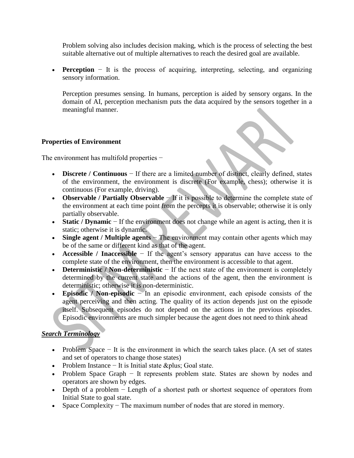Problem solving also includes decision making, which is the process of selecting the best suitable alternative out of multiple alternatives to reach the desired goal are available.

 **Perception** − It is the process of acquiring, interpreting, selecting, and organizing sensory information.

Perception presumes sensing. In humans, perception is aided by sensory organs. In the domain of AI, perception mechanism puts the data acquired by the sensors together in a meaningful manner.

# **Properties of Environment**

The environment has multifold properties –

- **Discrete / Continuous** − If there are a limited number of distinct, clearly defined, states of the environment, the environment is discrete (For example, chess); otherwise it is continuous (For example, driving).
- **Observable / Partially Observable** − If it is possible to determine the complete state of the environment at each time point from the percepts it is observable; otherwise it is only partially observable.
- **Static / Dynamic** − If the environment does not change while an agent is acting, then it is static; otherwise it is dynamic.
- **Single agent / Multiple agents** − The environment may contain other agents which may be of the same or different kind as that of the agent.
- **Accessible / Inaccessible** − If the agent's sensory apparatus can have access to the complete state of the environment, then the environment is accessible to that agent.
- **Deterministic / Non-deterministic** − If the next state of the environment is completely determined by the current state and the actions of the agent, then the environment is deterministic; otherwise it is non-deterministic.
- **Episodic / Non-episodic** − In an episodic environment, each episode consists of the agent perceiving and then acting. The quality of its action depends just on the episode itself. Subsequent episodes do not depend on the actions in the previous episodes. Episodic environments are much simpler because the agent does not need to think ahead

# *Search Terminology*

- Problem Space It is the environment in which the search takes place. (A set of states and set of operators to change those states)
- Problem Instance  $-$  It is Initial state  $\&$  plus; Goal state.
- Problem Space Graph − It represents problem state. States are shown by nodes and operators are shown by edges.
- Depth of a problem − Length of a shortest path or shortest sequence of operators from Initial State to goal state.
- Space Complexity − The maximum number of nodes that are stored in memory.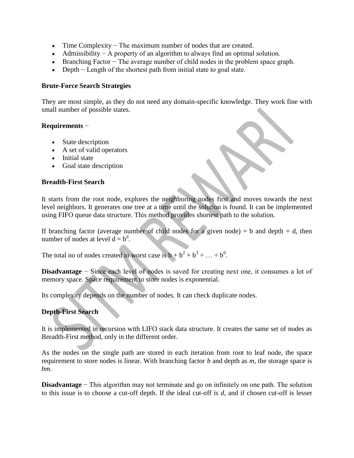- Time Complexity − The maximum number of nodes that are created.
- Admissibility − A property of an algorithm to always find an optimal solution.
- Branching Factor − The average number of child nodes in the problem space graph.
- Depth Length of the shortest path from initial state to goal state.

# **Brute-Force Search Strategies**

They are most simple, as they do not need any domain-specific knowledge. They work fine with small number of possible states.

### **Requirements** −

- State description
- A set of valid operators
- Initial state
- Goal state description

### **Breadth-First Search**

It starts from the root node, explores the neighboring nodes first and moves towards the next level neighbors. It generates one tree at a time until the solution is found. It can be implemented using FIFO queue data structure. This method provides shortest path to the solution.

If branching factor (average number of child nodes for a given node) = b and depth = d, then number of nodes at level  $d = b^d$ .

The total no of nodes created in worst case is  $b + b^2 + b^3 + ... + b^d$ .

**Disadvantage** − Since each level of nodes is saved for creating next one, it consumes a lot of memory space. Space requirement to store nodes is exponential.

Its complexity depends on the number of nodes. It can check duplicate nodes.

# **Depth-First Search**

It is implemented in recursion with LIFO stack data structure. It creates the same set of nodes as Breadth-First method, only in the different order.

As the nodes on the single path are stored in each iteration from root to leaf node, the space requirement to store nodes is linear. With branching factor *b* and depth as *m*, the storage space is *bm.*

**Disadvantage** − This algorithm may not terminate and go on infinitely on one path. The solution to this issue is to choose a cut-off depth. If the ideal cut-off is *d*, and if chosen cut-off is lesser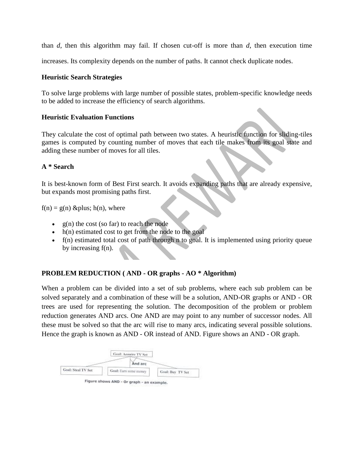than *d*, then this algorithm may fail. If chosen cut-off is more than *d*, then execution time

increases. Its complexity depends on the number of paths. It cannot check duplicate nodes.

#### **Heuristic Search Strategies**

To solve large problems with large number of possible states, problem-specific knowledge needs to be added to increase the efficiency of search algorithms.

#### **Heuristic Evaluation Functions**

They calculate the cost of optimal path between two states. A heuristic function for sliding-tiles games is computed by counting number of moves that each tile makes from its goal state and adding these number of moves for all tiles.

#### **A \* Search**

It is best-known form of Best First search. It avoids expanding paths that are already expensive, but expands most promising paths first.

 $f(n) = g(n)$  & plus; h(n), where

- $\bullet$  g(n) the cost (so far) to reach the node
- $h(n)$  estimated cost to get from the node to the goal
- $\bullet$  f(n) estimated total cost of path through n to goal. It is implemented using priority queue by increasing f(n).

#### **PROBLEM REDUCTION ( AND - OR graphs - AO \* Algorithm)**

When a problem can be divided into a set of sub problems, where each sub problem can be solved separately and a combination of these will be a solution, AND-OR graphs or AND - OR trees are used for representing the solution. The decomposition of the problem or problem reduction generates AND arcs. One AND are may point to any number of successor nodes. All these must be solved so that the arc will rise to many arcs, indicating several possible solutions. Hence the graph is known as AND - OR instead of AND. Figure shows an AND - OR graph.

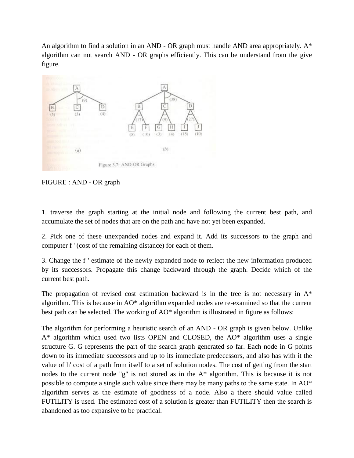An algorithm to find a solution in an AND - OR graph must handle AND area appropriately. A\* algorithm can not search AND - OR graphs efficiently. This can be understand from the give figure.



FIGURE : AND - OR graph

1. traverse the graph starting at the initial node and following the current best path, and accumulate the set of nodes that are on the path and have not yet been expanded.

2. Pick one of these unexpanded nodes and expand it. Add its successors to the graph and computer f ' (cost of the remaining distance) for each of them.

3. Change the f ' estimate of the newly expanded node to reflect the new information produced by its successors. Propagate this change backward through the graph. Decide which of the current best path.

The propagation of revised cost estimation backward is in the tree is not necessary in  $A^*$ algorithm. This is because in AO\* algorithm expanded nodes are re-examined so that the current best path can be selected. The working of AO\* algorithm is illustrated in figure as follows:

The algorithm for performing a heuristic search of an AND - OR graph is given below. Unlike A\* algorithm which used two lists OPEN and CLOSED, the AO\* algorithm uses a single structure G. G represents the part of the search graph generated so far. Each node in G points down to its immediate successors and up to its immediate predecessors, and also has with it the value of h' cost of a path from itself to a set of solution nodes. The cost of getting from the start nodes to the current node "g" is not stored as in the A\* algorithm. This is because it is not possible to compute a single such value since there may be many paths to the same state. In AO\* algorithm serves as the estimate of goodness of a node. Also a there should value called FUTILITY is used. The estimated cost of a solution is greater than FUTILITY then the search is abandoned as too expansive to be practical.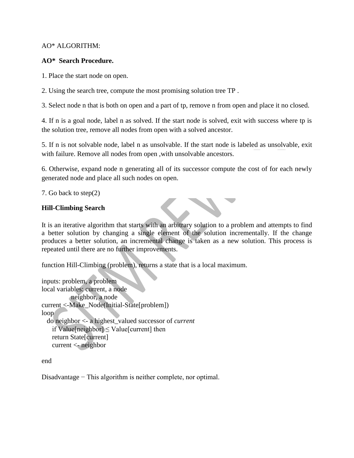# AO\* ALGORITHM:

### **AO\* Search Procedure.**

1. Place the start node on open.

2. Using the search tree, compute the most promising solution tree TP .

3. Select node n that is both on open and a part of tp, remove n from open and place it no closed.

4. If n is a goal node, label n as solved. If the start node is solved, exit with success where tp is the solution tree, remove all nodes from open with a solved ancestor.

5. If n is not solvable node, label n as unsolvable. If the start node is labeled as unsolvable, exit with failure. Remove all nodes from open ,with unsolvable ancestors.

6. Otherwise, expand node n generating all of its successor compute the cost of for each newly generated node and place all such nodes on open.

7. Go back to step(2)

### **Hill-Climbing Search**

It is an iterative algorithm that starts with an arbitrary solution to a problem and attempts to find a better solution by changing a single element of the solution incrementally. If the change produces a better solution, an incremental change is taken as a new solution. This process is repeated until there are no further improvements.

function Hill-Climbing (problem), returns a state that is a local maximum.

```
inputs: problem, a problem
local variables: current, a node
           neighbor, a node
current <-Make_Node(Initial-State[problem])
loop
  do neighbor <- a highest_valued successor of current
   if Value[neighbor] \leq Value[current] then
    return State[current]
    current <- neighbor
```
end

Disadvantage − This algorithm is neither complete, nor optimal.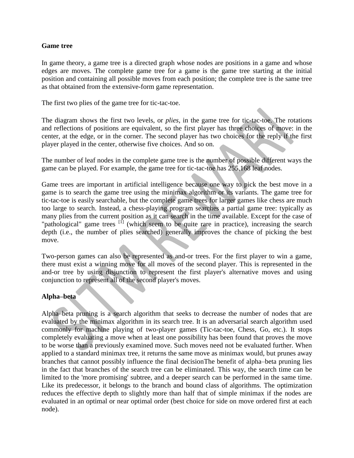#### **Game tree**

In [game theory,](https://en.wikipedia.org/wiki/Game_theory) a game tree is a [directed graph](https://en.wikipedia.org/wiki/Directed_graph) whose [nodes](https://en.wikipedia.org/wiki/Node_(graph_theory)) are positions in a [game](https://en.wikipedia.org/wiki/Game) and whose [edges](https://en.wikipedia.org/wiki/Edge_(graph_theory)) are moves. The complete game tree for a game is the game tree starting at the initial position and containing all possible moves from each position; the complete tree is the same tree as that obtained from the [extensive-form game](https://en.wikipedia.org/wiki/Extensive-form_game) representation.

The first two plies of the game tree for tic-tac-toe.

The diagram shows the first two levels, or *[plies](https://en.wikipedia.org/wiki/Ply_(game_theory))*, in the game tree for [tic-tac-toe.](https://en.wikipedia.org/wiki/Tic-tac-toe) The rotations and reflections of positions are equivalent, so the first player has three choices of move: in the center, at the edge, or in the corner. The second player has two choices for the reply if the first player played in the center, otherwise five choices. And so on.

The number of [leaf nodes](https://en.wikipedia.org/wiki/Leaf_node) in the complete game tree is the number of possible different ways the game can be played. For example, the game tree for tic-tac-toe has 255,168 leaf nodes.

Game trees are important in [artificial intelligence](https://en.wikipedia.org/wiki/Artificial_intelligence) because one way to pick the best move in a game is to search the game tree using the [minimax](https://en.wikipedia.org/wiki/Minimax) algorithm or its variants. The game tree for tic-tac-toe is easily searchable, but the complete game trees for larger games like [chess](https://en.wikipedia.org/wiki/Chess) are much too large to search. Instead, a chess-playing program searches a partial game tree: typically as many plies from the current position as it can search in the time available. Except for the case of "pathological" game trees  $[1]$  (which seem to be quite rare in practice), increasing the search depth (i.e., the number of plies searched) generally improves the chance of picking the best move.

Two-person games can also be represented as [and-or trees.](https://en.wikipedia.org/wiki/And-or_tree) For the first player to win a game, there must exist a winning move for all moves of the second player. This is represented in the and-or tree by using disjunction to represent the first player's alternative moves and using conjunction to represent all of the second player's moves.

# **Alpha–beta**

Alpha–beta pruning is a [search algorithm](https://en.wikipedia.org/wiki/Search_algorithm) that seeks to decrease the number of nodes that are evaluated by the [minimax algorithm](https://en.wikipedia.org/wiki/Minimax#Minimax_algorithm_with_alternate_moves) in its [search tree.](https://en.wikipedia.org/wiki/Game_tree) It is an [adversarial search algorithm](https://en.wikipedia.org/w/index.php?title=Adversarial_search_algorithm&action=edit&redlink=1) used commonly for machine playing of two-player games [\(Tic-tac-toe,](https://en.wikipedia.org/wiki/Tic-tac-toe) [Chess,](https://en.wikipedia.org/wiki/Chess) [Go,](https://en.wikipedia.org/wiki/Go_(board_game)) etc.). It stops completely evaluating a move when at least one possibility has been found that proves the move to be worse than a previously examined move. Such moves need not be evaluated further. When applied to a standard minimax tree, it returns the same move as minimax would, but prunes away branches that cannot possibly influence the final decisionThe benefit of alpha–beta pruning lies in the fact that branches of the search tree can be eliminated. This way, the search time can be limited to the 'more promising' subtree, and a deeper search can be performed in the same time. Like its predecessor, it belongs to the [branch and bound](https://en.wikipedia.org/wiki/Branch_and_bound) class of algorithms. The optimization reduces the effective depth to slightly more than half that of simple minimax if the nodes are evaluated in an optimal or near optimal order (best choice for side on move ordered first at each node).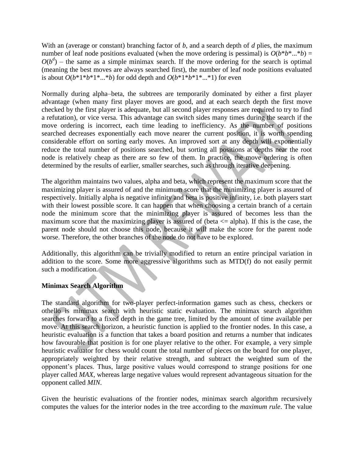With an (average or constant) [branching factor](https://en.wikipedia.org/wiki/Branching_factor) of *b*, and a search depth of *d* [plies,](https://en.wikipedia.org/wiki/Ply_(game_theory)) the maximum number of leaf node positions evaluated (when the move ordering is [pessimal\)](https://en.wiktionary.org/wiki/pessimal) is  $O(b*b*x...*b)$  $O(b*b*x...*b)$  =  $O(b^d)$  – the same as a simple minimax search. If the move ordering for the search is optimal (meaning the best moves are always searched first), the number of leaf node positions evaluated is about  $O(b*1*b*1*...*b)$  for odd depth and  $O(b*1*b*1*...*1)$  for even

Normally during alpha–beta, the subtrees are temporarily dominated by either a first player advantage (when many first player moves are good, and at each search depth the first move checked by the first player is adequate, but all second player responses are required to try to find a refutation), or vice versa. This advantage can switch sides many times during the search if the move ordering is incorrect, each time leading to inefficiency. As the number of positions searched decreases exponentially each move nearer the current position, it is worth spending considerable effort on sorting early moves. An improved sort at any depth will exponentially reduce the total number of positions searched, but sorting all positions at depths near the root node is relatively cheap as there are so few of them. In practice, the move ordering is often determined by the results of earlier, smaller searches, such as through [iterative deepening.](https://en.wikipedia.org/wiki/Iterative_deepening_depth-first_search)

The algorithm maintains two values, alpha and beta, which represent the maximum score that the maximizing player is assured of and the minimum score that the minimizing player is assured of respectively. Initially alpha is negative infinity and beta is positive infinity, i.e. both players start with their lowest possible score. It can happen that when choosing a certain branch of a certain node the minimum score that the minimizing player is assured of becomes less than the maximum score that the maximizing player is assured of (beta  $\leq$  alpha). If this is the case, the parent node should not choose this node, because it will make the score for the parent node worse. Therefore, the other branches of the node do not have to be explored.

Additionally, this algorithm can be trivially modified to return an entire [principal variation](https://en.wikipedia.org/wiki/Principal_variation) in addition to the score. Some more aggressive algorithms such as [MTD\(f\)](https://en.wikipedia.org/wiki/MTD(f)) do not easily permit such a modification.

# **Minimax Search Algorithm**

The standard algorithm for two-player perfect-information games such as chess, checkers or othello is minimax search with [heuristic static evaluation.](http://intelligence.worldofcomputing.net/ai-search/heuristic-evaluation-function.html) The minimax search algorithm searches forward to a fixed depth in the game tree, limited by the amount of time available per move. At this search horizon, a heuristic function is applied to the frontier nodes. In this case, a [heuristic evaluation](http://intelligence.worldofcomputing.net/ai-search/heuristic-evaluation-function.html) is a function that takes a board position and returns a number that indicates how favourable that position is for one player relative to the other. For example, a very simple heuristic evaluator for chess would count the total number of pieces on the board for one player, appropriately weighted by their relative strength, and subtract the weighted sum of the opponent's places. Thus, large positive values would correspond to strange positions for one player called *MAX*, whereas large negative values would represent advantageous situation for the opponent called *MIN*.

Given the [heuristic evaluations](http://intelligence.worldofcomputing.net/ai-search/heuristic-evaluation-function.html) of the frontier nodes, minimax search algorithm recursively computes the values for the interior nodes in the tree according to the *maximum rule*. The value